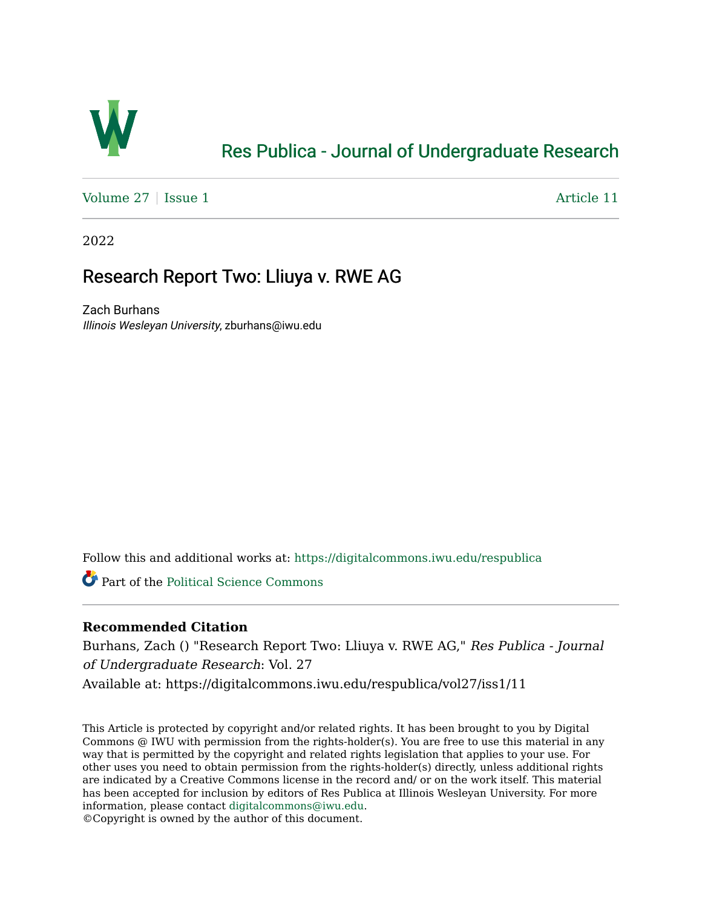

# [Res Publica - Journal of Undergraduate Research](https://digitalcommons.iwu.edu/respublica)

Volume  $27 \mid$  [Issue 1](https://digitalcommons.iwu.edu/respublica/vol27/iss1)  $\blacktriangle$ 

2022

## Research Report Two: Lliuya v. RWE AG

Zach Burhans Illinois Wesleyan University, zburhans@iwu.edu

Follow this and additional works at: [https://digitalcommons.iwu.edu/respublica](https://digitalcommons.iwu.edu/respublica?utm_source=digitalcommons.iwu.edu%2Frespublica%2Fvol27%2Fiss1%2F11&utm_medium=PDF&utm_campaign=PDFCoverPages) 

Part of the [Political Science Commons](http://network.bepress.com/hgg/discipline/386?utm_source=digitalcommons.iwu.edu%2Frespublica%2Fvol27%2Fiss1%2F11&utm_medium=PDF&utm_campaign=PDFCoverPages)

## **Recommended Citation**

Burhans, Zach () "Research Report Two: Lliuya v. RWE AG," Res Publica - Journal of Undergraduate Research: Vol. 27 Available at: https://digitalcommons.iwu.edu/respublica/vol27/iss1/11

This Article is protected by copyright and/or related rights. It has been brought to you by Digital Commons @ IWU with permission from the rights-holder(s). You are free to use this material in any way that is permitted by the copyright and related rights legislation that applies to your use. For other uses you need to obtain permission from the rights-holder(s) directly, unless additional rights are indicated by a Creative Commons license in the record and/ or on the work itself. This material has been accepted for inclusion by editors of Res Publica at Illinois Wesleyan University. For more information, please contact [digitalcommons@iwu.edu.](mailto:digitalcommons@iwu.edu)

©Copyright is owned by the author of this document.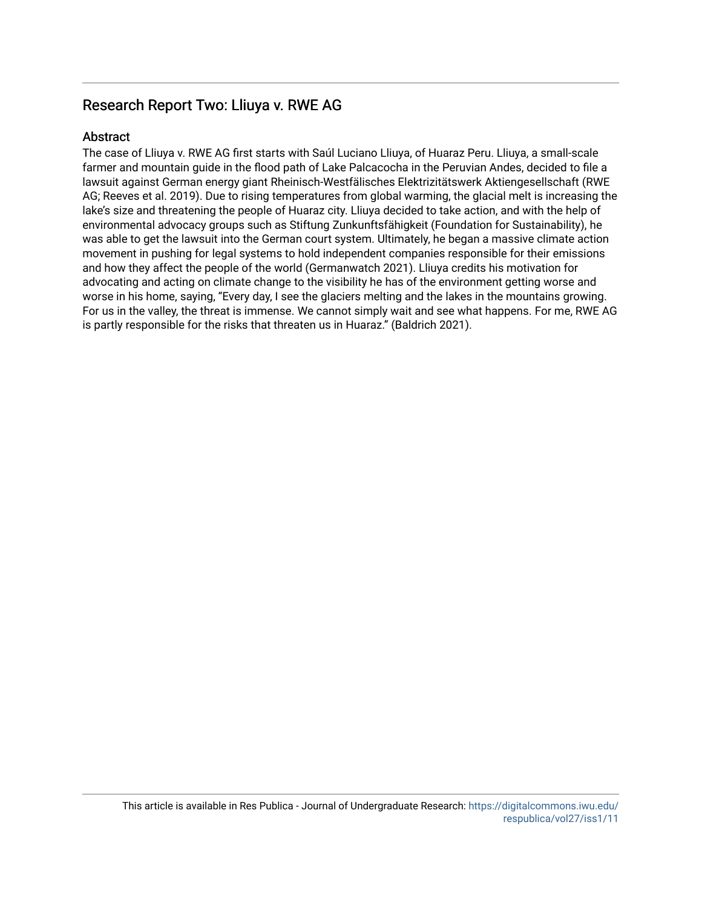## Research Report Two: Lliuya v. RWE AG.

## **Abstract**

The case of Lliuya v. RWE AG first starts with Saúl Luciano Lliuya, of Huaraz Peru. Lliuya, a small-scale farmer and mountain guide in the flood path of Lake Palcacocha in the Peruvian Andes, decided to file a lawsuit against German energy giant Rheinisch-Westfälisches Elektrizitätswerk Aktiengesellschaft (RWE AG; Reeves et al. 2019). Due to rising temperatures from global warming, the glacial melt is increasing the lake's size and threatening the people of Huaraz city. Lliuya decided to take action, and with the help of environmental advocacy groups such as Stiftung Zunkunftsfähigkeit (Foundation for Sustainability), he was able to get the lawsuit into the German court system. Ultimately, he began a massive climate action movement in pushing for legal systems to hold independent companies responsible for their emissions and how they affect the people of the world (Germanwatch 2021). Lliuya credits his motivation for advocating and acting on climate change to the visibility he has of the environment getting worse and worse in his home, saying, "Every day, I see the glaciers melting and the lakes in the mountains growing. For us in the valley, the threat is immense. We cannot simply wait and see what happens. For me, RWE AG is partly responsible for the risks that threaten us in Huaraz." (Baldrich 2021).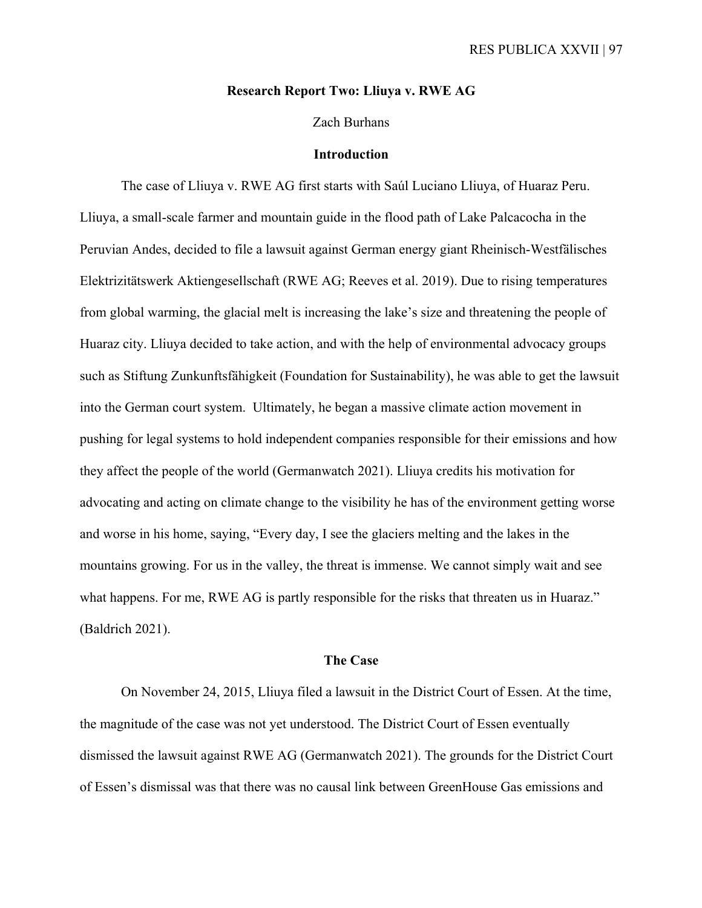### **Research Report Two: Lliuya v. RWE AG**

### Zach Burhans

#### **Introduction**

 The case of Lliuya v. RWE AG first starts with Saúl Luciano Lliuya, of Huaraz Peru. Lliuya, a small-scale farmer and mountain guide in the flood path of Lake Palcacocha in the Peruvian Andes, decided to file a lawsuit against German energy giant Rheinisch-Westfälisches Elektrizitätswerk Aktiengesellschaft (RWE AG; Reeves et al. 2019). Due to rising temperatures from global warming, the glacial melt is increasing the lake's size and threatening the people of Huaraz city. Lliuya decided to take action, and with the help of environmental advocacy groups such as Stiftung Zunkunftsfähigkeit (Foundation for Sustainability), he was able to get the lawsuit into the German court system. Ultimately, he began a massive climate action movement in pushing for legal systems to hold independent companies responsible for their emissions and how they affect the people of the world (Germanwatch 2021). Lliuya credits his motivation for advocating and acting on climate change to the visibility he has of the environment getting worse and worse in his home, saying, "Every day, I see the glaciers melting and the lakes in the mountains growing. For us in the valley, the threat is immense. We cannot simply wait and see what happens. For me, RWE AG is partly responsible for the risks that threaten us in Huaraz." (Baldrich 2021).

#### **The Case**

 On November 24, 2015, Lliuya filed a lawsuit in the District Court of Essen. At the time, the magnitude of the case was not yet understood. The District Court of Essen eventually dismissed the lawsuit against RWE AG (Germanwatch 2021). The grounds for the District Court of Essen's dismissal was that there was no causal link between GreenHouse Gas emissions and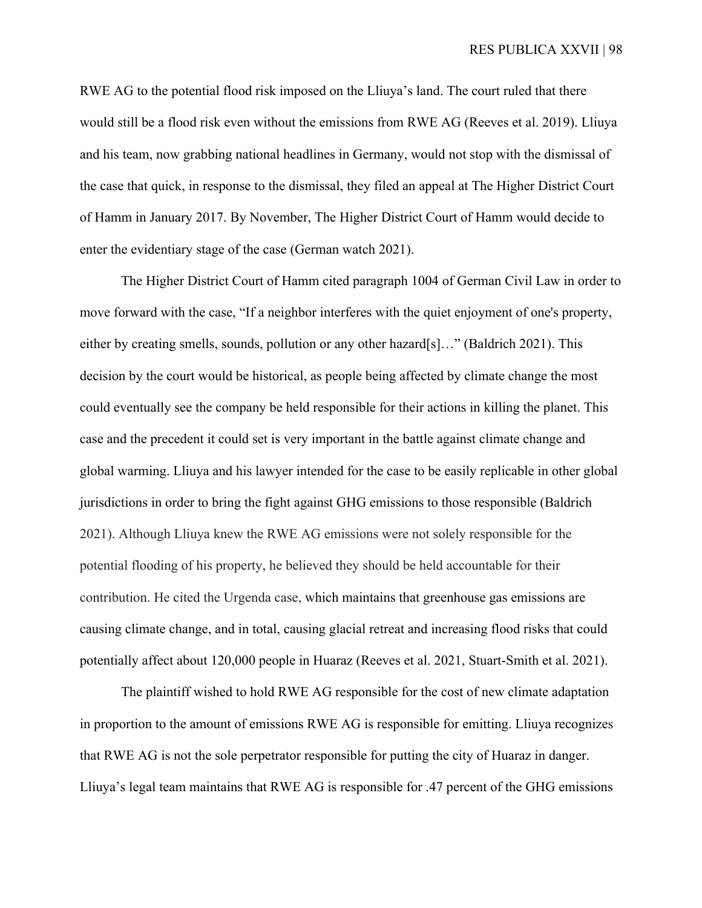RWE AG to the potential flood risk imposed on the Lliuya's land. The court ruled that there would still be a flood risk even without the emissions from RWE AG (Reeves et al. 2019). Lliuya and his team, now grabbing national headlines in Germany, would not stop with the dismissal of the case that quick, in response to the dismissal, they filed an appeal at The Higher District Court of Hamm in January 2017. By November, The Higher District Court of Hamm would decide to enter the evidentiary stage of the case (German watch 2021).

The Higher District Court of Hamm cited paragraph 1004 of German Civil Law in order to move forward with the case, "If a neighbor interferes with the quiet enjoyment of one's property, either by creating smells, sounds, pollution or any other hazard[s]…" (Baldrich 2021). This decision by the court would be historical, as people being affected by climate change the most could eventually see the company be held responsible for their actions in killing the planet. This case and the precedent it could set is very important in the battle against climate change and global warming. Lliuya and his lawyer intended for the case to be easily replicable in other global jurisdictions in order to bring the fight against GHG emissions to those responsible (Baldrich 2021). Although Lliuya knew the RWE AG emissions were not solely responsible for the potential flooding of his property, he believed they should be held accountable for their contribution. He cited the Urgenda case, which maintains that greenhouse gas emissions are causing climate change, and in total, causing glacial retreat and increasing flood risks that could potentially affect about 120,000 people in Huaraz (Reeves et al. 2021, Stuart-Smith et al. 2021).

The plaintiff wished to hold RWE AG responsible for the cost of new climate adaptation in proportion to the amount of emissions RWE AG is responsible for emitting. Lliuya recognizes that RWE AG is not the sole perpetrator responsible for putting the city of Huaraz in danger. Lliuya's legal team maintains that RWE AG is responsible for .47 percent of the GHG emissions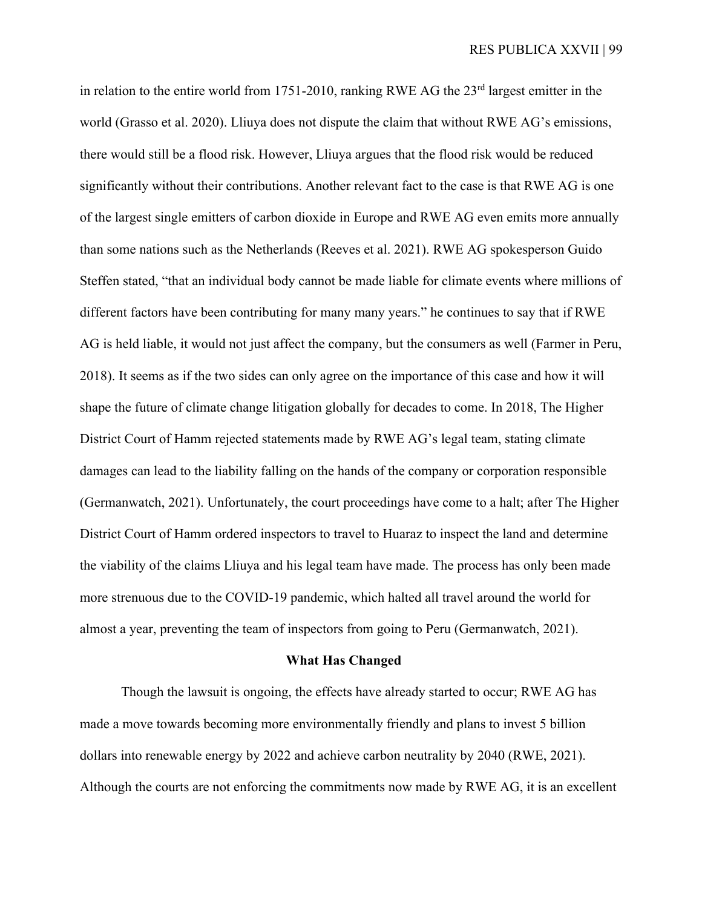in relation to the entire world from 1751-2010, ranking RWE AG the  $23<sup>rd</sup>$  largest emitter in the world (Grasso et al. 2020). Lliuya does not dispute the claim that without RWE AG's emissions, there would still be a flood risk. However, Lliuya argues that the flood risk would be reduced significantly without their contributions. Another relevant fact to the case is that RWE AG is one of the largest single emitters of carbon dioxide in Europe and RWE AG even emits more annually than some nations such as the Netherlands (Reeves et al. 2021). RWE AG spokesperson Guido Steffen stated, "that an individual body cannot be made liable for climate events where millions of different factors have been contributing for many many years." he continues to say that if RWE AG is held liable, it would not just affect the company, but the consumers as well (Farmer in Peru, 2018). It seems as if the two sides can only agree on the importance of this case and how it will shape the future of climate change litigation globally for decades to come. In 2018, The Higher District Court of Hamm rejected statements made by RWE AG's legal team, stating climate damages can lead to the liability falling on the hands of the company or corporation responsible (Germanwatch, 2021). Unfortunately, the court proceedings have come to a halt; after The Higher District Court of Hamm ordered inspectors to travel to Huaraz to inspect the land and determine the viability of the claims Lliuya and his legal team have made. The process has only been made more strenuous due to the COVID-19 pandemic, which halted all travel around the world for almost a year, preventing the team of inspectors from going to Peru (Germanwatch, 2021).

#### **What Has Changed**

 Though the lawsuit is ongoing, the effects have already started to occur; RWE AG has made a move towards becoming more environmentally friendly and plans to invest 5 billion dollars into renewable energy by 2022 and achieve carbon neutrality by 2040 (RWE, 2021). Although the courts are not enforcing the commitments now made by RWE AG, it is an excellent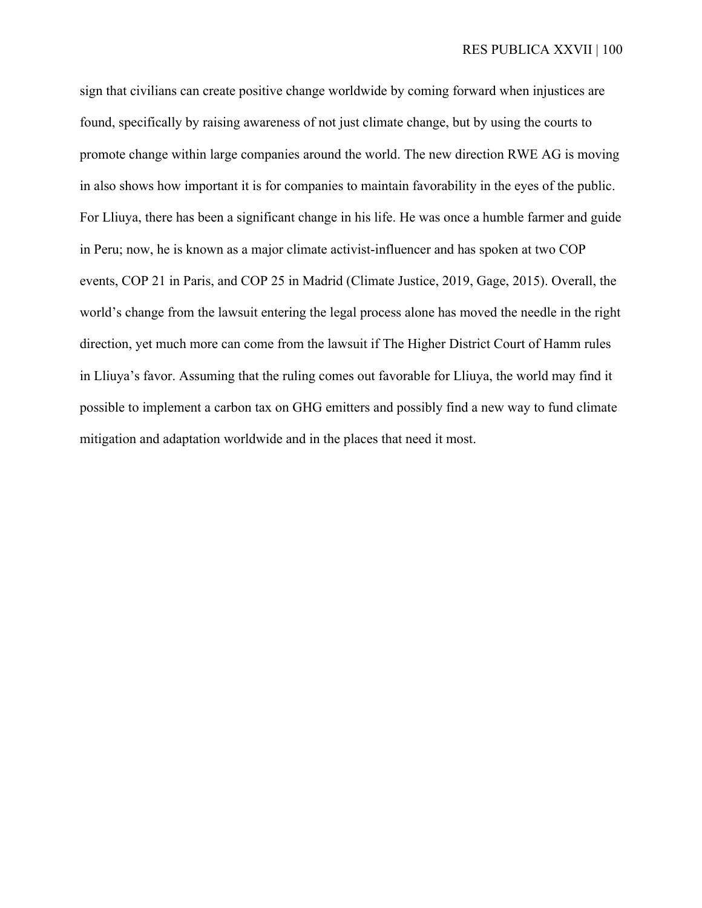sign that civilians can create positive change worldwide by coming forward when injustices are found, specifically by raising awareness of not just climate change, but by using the courts to promote change within large companies around the world. The new direction RWE AG is moving in also shows how important it is for companies to maintain favorability in the eyes of the public. For Lliuya, there has been a significant change in his life. He was once a humble farmer and guide in Peru; now, he is known as a major climate activist-influencer and has spoken at two COP events, COP 21 in Paris, and COP 25 in Madrid (Climate Justice, 2019, Gage, 2015). Overall, the world's change from the lawsuit entering the legal process alone has moved the needle in the right direction, yet much more can come from the lawsuit if The Higher District Court of Hamm rules in Lliuya's favor. Assuming that the ruling comes out favorable for Lliuya, the world may find it possible to implement a carbon tax on GHG emitters and possibly find a new way to fund climate mitigation and adaptation worldwide and in the places that need it most.